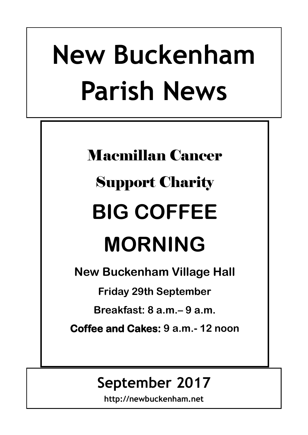# **New Buckenham Parish News**

# Macmillan Cancer Support Charity **BIG COFFEE MORNING**

**New Buckenham Village Hall**

**Friday 29th September** 

**Breakfast: 8 a.m.– 9 a.m.**

**Coffee and Cakes: 9 a.m.- 12 noon**

## **September 2017**

**http://newbuckenham.net**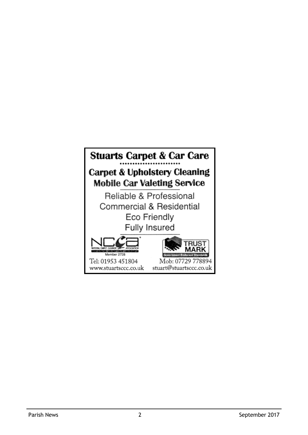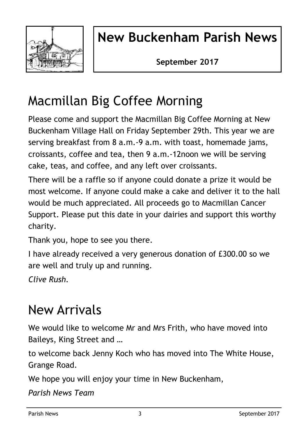

## **New Buckenham Parish News**

**September 2017**

## Macmillan Big Coffee Morning

Please come and support the Macmillan Big Coffee Morning at New Buckenham Village Hall on Friday September 29th. This year we are serving breakfast from 8 a.m.-9 a.m. with toast, homemade jams, croissants, coffee and tea, then 9 a.m.-12noon we will be serving cake, teas, and coffee, and any left over croissants.

There will be a raffle so if anyone could donate a prize it would be most welcome. If anyone could make a cake and deliver it to the hall would be much appreciated. All proceeds go to Macmillan Cancer Support. Please put this date in your dairies and support this worthy charity.

Thank you, hope to see you there.

I have already received a very generous donation of £300.00 so we are well and truly up and running.

*Clive Rush.*

## New Arrivals

We would like to welcome Mr and Mrs Frith, who have moved into Baileys, King Street and …

to welcome back Jenny Koch who has moved into The White House, Grange Road.

We hope you will enjoy your time in New Buckenham,

*Parish News Team*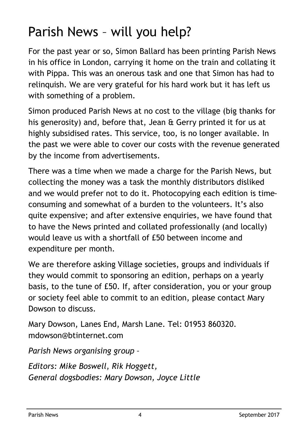## Parish News – will you help?

For the past year or so, Simon Ballard has been printing Parish News in his office in London, carrying it home on the train and collating it with Pippa. This was an onerous task and one that Simon has had to relinquish. We are very grateful for his hard work but it has left us with something of a problem.

Simon produced Parish News at no cost to the village (big thanks for his generosity) and, before that, Jean & Gerry printed it for us at highly subsidised rates. This service, too, is no longer available. In the past we were able to cover our costs with the revenue generated by the income from advertisements.

There was a time when we made a charge for the Parish News, but collecting the money was a task the monthly distributors disliked and we would prefer not to do it. Photocopying each edition is timeconsuming and somewhat of a burden to the volunteers. It's also quite expensive; and after extensive enquiries, we have found that to have the News printed and collated professionally (and locally) would leave us with a shortfall of £50 between income and expenditure per month.

We are therefore asking Village societies, groups and individuals if they would commit to sponsoring an edition, perhaps on a yearly basis, to the tune of £50. If, after consideration, you or your group or society feel able to commit to an edition, please contact Mary Dowson to discuss.

Mary Dowson, Lanes End, Marsh Lane. Tel: 01953 860320. mdowson@btinternet.com

*Parish News organising group –*

*Editors: Mike Boswell, Rik Hoggett, General dogsbodies: Mary Dowson, Joyce Little*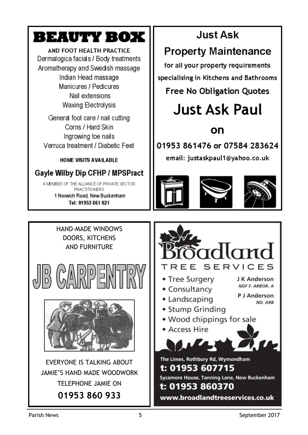## BEAUTY BOX

AND FOOT HEALTH PRACTICE Dermalogica facials / Body treatments Aromatherapy and Swedish massage Indian Head massage Manicures / Pedicures Nail extensions Waxing Electrolysis

General foot care / nail cutting Corns / Hard Skin Ingrowing toe nails Verruca treatment / Diabetic Feet

**HOME VISITS AVAILABLE** 

## **Gayle Wilby Dip CFHP / MPSPract**

A MEMBER OF THE ALLIANCE OF PRIVATE SECTOR PRACTITIONERS 1 Norwich Road, New Buckenham Tel: 01953 861 021

## **Just Ask**

## **Property Maintenance**

for all your property requirements specialising in Kitchens and Bathrooms

## **Free No Obligation Quotes**

## Just Ask Paul

## on

01953 861476 or 07584 283624

email: justaskpaul1@yahoo.co.uk









www.broadlandtreeservices.co.uk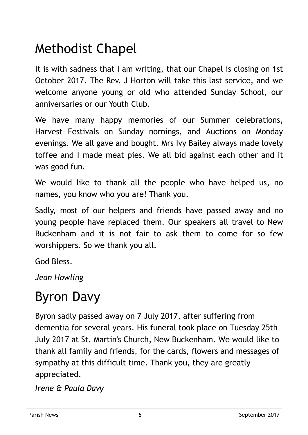## Methodist Chapel

It is with sadness that I am writing, that our Chapel is closing on 1st October 2017. The Rev. J Horton will take this last service, and we welcome anyone young or old who attended Sunday School, our anniversaries or our Youth Club.

We have many happy memories of our Summer celebrations, Harvest Festivals on Sunday nornings, and Auctions on Monday evenings. We all gave and bought. Mrs Ivy Bailey always made lovely toffee and I made meat pies. We all bid against each other and it was good fun.

We would like to thank all the people who have helped us, no names, you know who you are! Thank you.

Sadly, most of our helpers and friends have passed away and no young people have replaced them. Our speakers all travel to New Buckenham and it is not fair to ask them to come for so few worshippers. So we thank you all.

God Bless.

*Jean Howling*

## Byron Davy

Byron sadly passed away on 7 July 2017, after suffering from dementia for several years. His funeral took place on Tuesday 25th July 2017 at St. Martin's Church, New Buckenham. We would like to thank all family and friends, for the cards, flowers and messages of sympathy at this difficult time. Thank you, they are greatly appreciated.

*Irene & Paula Davy*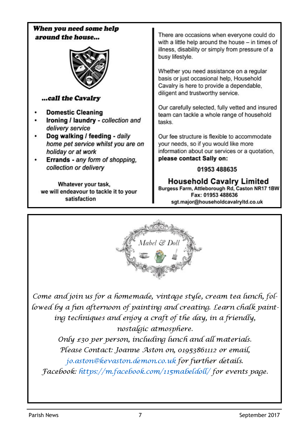



Come and join us for a homemade, vintage style, cream tea lunch, followed by a fun afternoon of painting and creating. Learn chalk painting techniques and enjoy a craft of the day, in a friendly, nostalgíc atmosphere.

Only £30 per person, including lunch and all materials. Please Contact: Joanne Aston on, 01953861112 or email, jo.aston@kevaston.demon.co.uk for further details.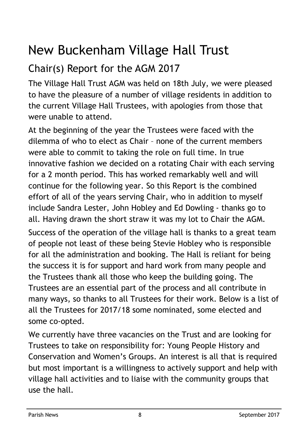## New Buckenham Village Hall Trust

## Chair(s) Report for the AGM 2017

The Village Hall Trust AGM was held on 18th July, we were pleased to have the pleasure of a number of village residents in addition to the current Village Hall Trustees, with apologies from those that were unable to attend.

At the beginning of the year the Trustees were faced with the dilemma of who to elect as Chair – none of the current members were able to commit to taking the role on full time. In true innovative fashion we decided on a rotating Chair with each serving for a 2 month period. This has worked remarkably well and will continue for the following year. So this Report is the combined effort of all of the years serving Chair, who in addition to myself include Sandra Lester, John Hobley and Ed Dowling - thanks go to all. Having drawn the short straw it was my lot to Chair the AGM. Success of the operation of the village hall is thanks to a great team of people not least of these being Stevie Hobley who is responsible for all the administration and booking. The Hall is reliant for being the success it is for support and hard work from many people and the Trustees thank all those who keep the building going. The

Trustees are an essential part of the process and all contribute in many ways, so thanks to all Trustees for their work. Below is a list of all the Trustees for 2017/18 some nominated, some elected and some co-opted.

We currently have three vacancies on the Trust and are looking for Trustees to take on responsibility for: Young People History and Conservation and Women's Groups. An interest is all that is required but most important is a willingness to actively support and help with village hall activities and to liaise with the community groups that use the hall.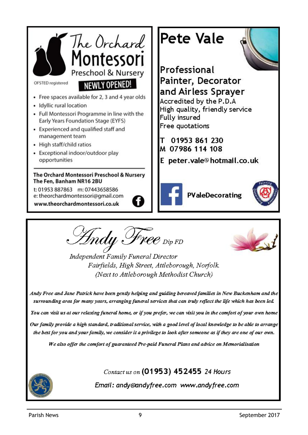

Indy Free  $_{\scriptscriptstyle \mathrm{Dip}\, \mathrm{FD}}$ 

Independent Family Funeral Director Fairfields, High Street, Attleborough, Norfolk, (Next to Attleborough Methodist Church)

Andy Free and Jane Patrick have been gently helping and guiding bereaved families in New Buckenham and the surrounding area for many years, arranging funeral services that can truly reflect the life which has been led.

You can visit us at our relaxing funeral home, or if you prefer, we can visit you in the comfort of your own home

Our family provide a high standard, traditional service, with a good level of local knowledge to be able to arrange the best for you and your family, we consider it a privilege to look after someone as if they are one of our own.

We also offer the comfort of guaranteed Pre-paid Funeral Plans and advice on Memorialisation

Contact us on (01953) 452455 24 Hours

Email: andy@andyfree.com www.andyfree.com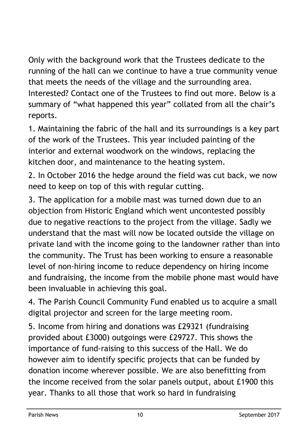Only with the background work that the Trustees dedicate to the running of the hall can we continue to have a true community venue that meets the needs of the village and the surrounding area. Interested? Contact one of the Trustees to find out more. Below is a summary of "what happened this year" collated from all the chair's reports.

1. Maintaining the fabric of the hall and its surroundings is a key part of the work of the Trustees. This year included painting of the interior and external woodwork on the windows, replacing the kitchen door, and maintenance to the heating system.

2. In October 2016 the hedge around the field was cut back, we now need to keep on top of this with regular cutting.

3. The application for a mobile mast was turned down due to an objection from Historic England which went uncontested possibly due to negative reactions to the project from the village. Sadly we understand that the mast will now be located outside the village on private land with the income going to the landowner rather than into the community. The Trust has been working to ensure a reasonable level of non-hiring income to reduce dependency on hiring income and fundraising, the income from the mobile phone mast would have been invaluable in achieving this goal.

4. The Parish Council Community Fund enabled us to acquire a small digital projector and screen for the large meeting room.

5. Income from hiring and donations was £29321 (fundraising provided about £3000) outgoings were £29727. This shows the importance of fund-raising to this success of the Hall. We do however aim to identify specific projects that can be funded by donation income wherever possible. We are also benefitting from the income received from the solar panels output, about £1900 this year. Thanks to all those that work so hard in fundraising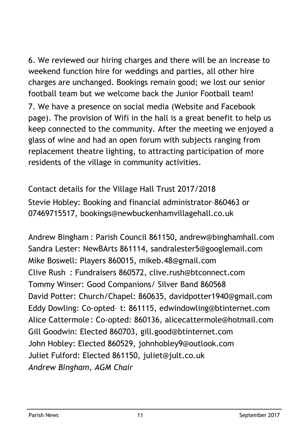6. We reviewed our hiring charges and there will be an increase to weekend function hire for weddings and parties, all other hire charges are unchanged. Bookings remain good; we lost our senior football team but we welcome back the Junior Football team!

7. We have a presence on social media (Website and Facebook page). The provision of Wifi in the hall is a great benefit to help us keep connected to the community. After the meeting we enjoyed a glass of wine and had an open forum with subjects ranging from replacement theatre lighting, to attracting participation of more residents of the village in community activities.

Contact details for the Village Hall Trust 2017/2018 Stevie Hobley: Booking and financial administrator–860463 or 07469715517, bookings@newbuckenhamvillagehall.co.uk

Andrew Bingham : Parish Council 861150, andrew@binghamhall.com Sandra Lester: NewBArts 861114, sandralester5@googlemail.com Mike Boswell: Players 860015, mikeb.48@gmail.com Clive Rush : Fundraisers 860572, clive.rush@btconnect.com Tommy Winser: Good Companions/ Silver Band 860568 David Potter: Church/Chapel: 860635, davidpotter1940@gmail.com Eddy Dowling: Co-opted– t: 861115, edwindowling@btinternet.com Alice Cattermole: Co-opted: 860136, alicecattermole@hotmail.com Gill Goodwin: Elected 860703, gill.good@btinternet.com John Hobley: Elected 860529, johnhobley9@outlook.com Juliet Fulford: Elected 861150, juliet@jult.co.uk *Andrew Bingham, AGM Chair*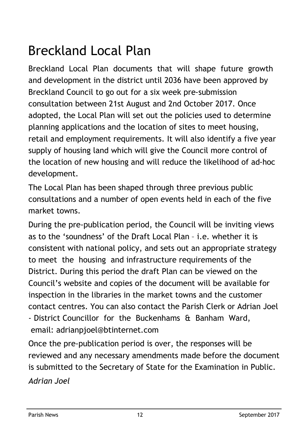## Breckland Local Plan

Breckland Local Plan documents that will shape future growth and development in the district until 2036 have been approved by Breckland Council to go out for a six week pre-submission consultation between 21st August and 2nd October 2017. Once adopted, the Local Plan will set out the policies used to determine planning applications and the location of sites to meet housing, retail and employment requirements. It will also identify a five year supply of housing land which will give the Council more control of the location of new housing and will reduce the likelihood of ad-hoc development.

The Local Plan has been shaped through three previous public consultations and a number of open events held in each of the five market towns.

During the pre-publication period, the Council will be inviting views as to the 'soundness' of the Draft Local Plan – i.e. whether it is consistent with national policy, and sets out an appropriate strategy to meet the housing and infrastructure requirements of the District. During this period the draft Plan can be viewed on the Council's website and copies of the document will be available for inspection in the libraries in the market towns and the customer contact centres. You can also contact the Parish Clerk or Adrian Joel - District Councillor for the Buckenhams & Banham Ward, email: adrianpjoel@btinternet.com

Once the pre-publication period is over, the responses will be reviewed and any necessary amendments made before the document is submitted to the Secretary of State for the Examination in Public. *Adrian Joel*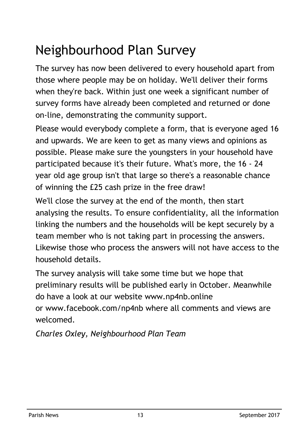## Neighbourhood Plan Survey

The survey has now been delivered to every household apart from those where people may be on holiday. We'll deliver their forms when they're back. Within just one week a significant number of survey forms have already been completed and returned or done on-line, demonstrating the community support.

Please would everybody complete a form, that is everyone aged 16 and upwards. We are keen to get as many views and opinions as possible. Please make sure the youngsters in your household have participated because it's their future. What's more, the 16 - 24 year old age group isn't that large so there's a reasonable chance of winning the £25 cash prize in the free draw!

We'll close the survey at the end of the month, then start analysing the results. To ensure confidentiality, all the information linking the numbers and the households will be kept securely by a team member who is not taking part in processing the answers. Likewise those who process the answers will not have access to the household details.

The survey analysis will take some time but we hope that preliminary results will be published early in October. Meanwhile do have a look at our website www.np4nb.online or www.facebook.com/np4nb where all comments and views are welcomed.

*Charles Oxley, Neighbourhood Plan Team*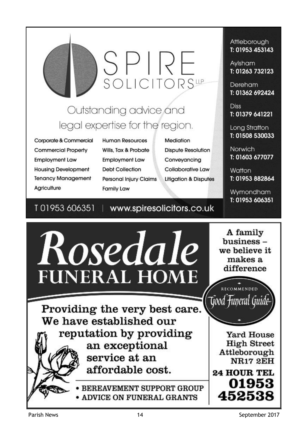# SPIRE<br>SOLICITORS<sup>LIP</sup>

## Outstanding advice and legal expertise for the region.

Corporate & Commercial **Commercial Property Employment Law Housing Development Tenancy Management** Agriculture

**Human Resources** Wills, Tax & Probate **Employment Law Debt Collection Personal Injury Claims Family Law** 

Mediation **Dispute Resolution** Conveyancing **Collaborative Law Litigation & Disputes** 

#### T01953606351 www.spiresolicitors.co.uk

Attleborough T: 01953 453143

Avisham T: 01263 732123

Dereham T: 01362 692424

**Diss** T: 01379 641221

Long Stratton T: 01508 530033

**Norwich** T: 01603 677077

Watton T: 01953 882864

Wymondham T: 01953 606351



Parish News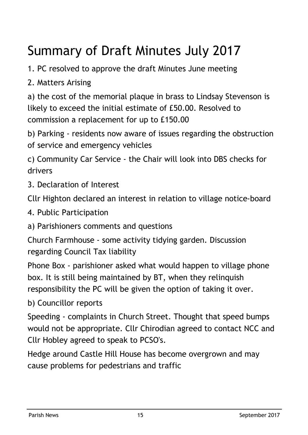## Summary of Draft Minutes July 2017

1. PC resolved to approve the draft Minutes June meeting

2. Matters Arising

a) the cost of the memorial plaque in brass to Lindsay Stevenson is likely to exceed the initial estimate of £50.00. Resolved to commission a replacement for up to £150.00

b) Parking - residents now aware of issues regarding the obstruction of service and emergency vehicles

c) Community Car Service - the Chair will look into DBS checks for drivers

3. Declaration of Interest

Cllr Highton declared an interest in relation to village notice-board

4. Public Participation

a) Parishioners comments and questions

Church Farmhouse - some activity tidying garden. Discussion regarding Council Tax liability

Phone Box - parishioner asked what would happen to village phone box. It is still being maintained by BT, when they relinquish responsibility the PC will be given the option of taking it over.

b) Councillor reports

Speeding - complaints in Church Street. Thought that speed bumps would not be appropriate. Cllr Chirodian agreed to contact NCC and Cllr Hobley agreed to speak to PCSO's.

Hedge around Castle Hill House has become overgrown and may cause problems for pedestrians and traffic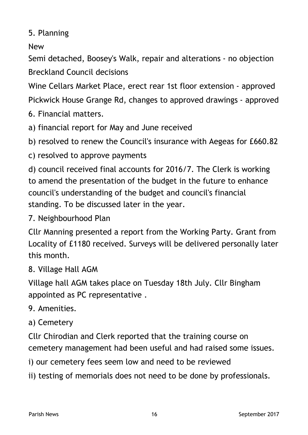5. Planning

New

Semi detached, Boosey's Walk, repair and alterations - no objection Breckland Council decisions

Wine Cellars Market Place, erect rear 1st floor extension - approved

Pickwick House Grange Rd, changes to approved drawings - approved

- 6. Financial matters.
- a) financial report for May and June received

b) resolved to renew the Council's insurance with Aegeas for £660.82

c) resolved to approve payments

d) council received final accounts for 2016/7. The Clerk is working to amend the presentation of the budget in the future to enhance council's understanding of the budget and council's financial standing. To be discussed later in the year.

7. Neighbourhood Plan

Cllr Manning presented a report from the Working Party. Grant from Locality of £1180 received. Surveys will be delivered personally later this month.

### 8. Village Hall AGM

Village hall AGM takes place on Tuesday 18th July. Cllr Bingham appointed as PC representative .

## 9. Amenities.

a) Cemetery

Cllr Chirodian and Clerk reported that the training course on cemetery management had been useful and had raised some issues.

i) our cemetery fees seem low and need to be reviewed

ii) testing of memorials does not need to be done by professionals.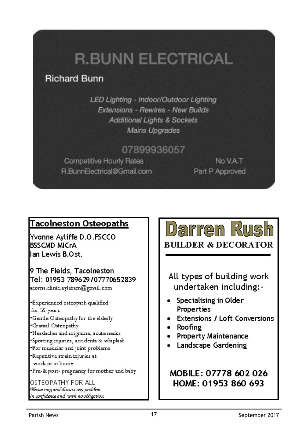## **R.BUNN ELECTRICAL**

## **Richard Bunn**

LED Lighting - Indoor/Outdoor Lighting Extensions - Rewires - New Builds **Additional Lights & Sockets Mains Upgrades** 

## 07899936057

**Competitive Hourly Rates** R.BunnElectrical@Gmail.com

No VAT Part P Approved

## **Tacolneston Osteopaths**

Yvonne Avliffe D.O.FSCCO **BSSCMD MICrA** lan Lewis B Ost

9 The Fields, Tacolneston Tel: 01953 789629/07770652839 acorns.clinic.aylsham@gmail.com

\*Experienced osteopath qualified for 35 years \*Gentle Osteopathy for the elderly \*Cranial Osteopathy \*Headaches and migraine, acute necks \*Sporting injuries, accidents & whiplash For muscular and joint problems \*Repetitive strain injuries at work or at home \*Pre-& post- pregnancy for mother and baby

Ο ΣΤΕΩΡΔΤΗΥ ΕΩΡΙΔΗ. Rease ring and discuss any problem in confidence and with no obligation

## <u>Darren Rush</u> **BUILDER & DECORATOR**

All types of building work undertaken including:-

- Specialising in Older Properties
- Extensions / Loft Conversions
- Roofing
- Property Maintenance
- Landscape Gardening

MOBILE: 07778 602 026 HOME: 01953 860 693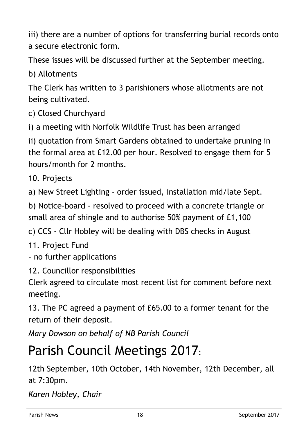iii) there are a number of options for transferring burial records onto a secure electronic form.

These issues will be discussed further at the September meeting.

b) Allotments

The Clerk has written to 3 parishioners whose allotments are not being cultivated.

c) Closed Churchyard

i) a meeting with Norfolk Wildlife Trust has been arranged

ii) quotation from Smart Gardens obtained to undertake pruning in the formal area at £12.00 per hour. Resolved to engage them for 5 hours/month for 2 months.

10. Projects

a) New Street Lighting - order issued, installation mid/late Sept.

b) Notice-board - resolved to proceed with a concrete triangle or small area of shingle and to authorise 50% payment of £1,100

c) CCS - Cllr Hobley will be dealing with DBS checks in August

11. Project Fund

- no further applications

12. Councillor responsibilities

Clerk agreed to circulate most recent list for comment before next meeting.

13. The PC agreed a payment of £65.00 to a former tenant for the return of their deposit.

*Mary Dowson on behalf of NB Parish Council*

## Parish Council Meetings 2017:

12th September, 10th October, 14th November, 12th December, all at 7:30pm.

*Karen Hobley, Chair*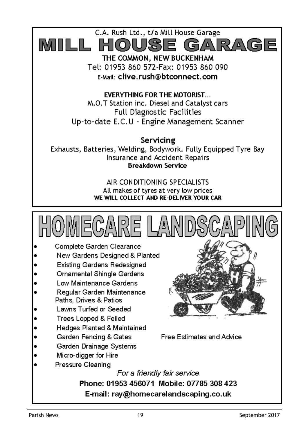

E-Mail: clive.rush@btconnect.com

**EVERYTHING FOR THE MOTORIST...** M.O.T Station inc. Diesel and Catalyst cars Full Diagnostic Facilities Up-to-date E.C.U - Engine Management Scanner

Servicing Exhausts, Batteries, Welding, Bodywork. Fully Equipped Tyre Bay Insurance and Accident Repairs **Breakdown Service** 

> AIR CONDITIONING SPECIALISTS All makes of tyres at very low prices WE WILL COLLECT AND RE-DELIVER YOUR CAR



- Complete Garden Clearance
- New Gardens Designed & Planted
- **Existing Gardens Redesigned**
- Ornamental Shingle Gardens
- Low Maintenance Gardens
- Regular Garden Maintenance Paths, Drives & Patios
- Lawns Turfed or Seeded
- Trees Lopped & Felled
- Hedges Planted & Maintained
- Garden Fencing & Gates
- Garden Drainage Systems
- Micro-digger for Hire
- Pressure Cleaning

Free Estimates and Advice

For a friendly fair service Phone: 01953 456071 Mobile: 07785 308 423 E-mail: ray@homecarelandscaping.co.uk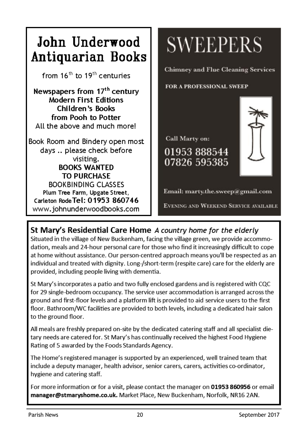

## St Mary's Residential Care Home A country home for the elderly

Situated in the village of New Buckenham, facing the village green, we provide accommodation, meals and 24-hour personal care for those who find it increasingly difficult to cope at home without assistance. Our person-centred approach means you'll be respected as an individual and treated with dignity. Long-/short-term (respite care) care for the elderly are provided, including people living with dementia.

St Mary's incorporates a patio and two fully enclosed gardens and is registered with CQC for 29 single-bedroom occupancy. The service user accommodation is arranged across the ground and first-floor levels and a platform lift is provided to aid service users to the first floor. Bathroom/WC facilities are provided to both levels, including a dedicated hair salon to the ground floor.

All meals are freshly prepared on-site by the dedicated catering staff and all specialist dietary needs are catered for. St Mary's has continually received the highest Food Hygiene Rating of 5 awarded by the Foods Standards Agency.

The Home's registered manager is supported by an experienced, well trained team that include a deputy manager, health advisor, senior carers, carers, activities co-ordinator, hygiene and catering staff.

For more information or for a visit, please contact the manager on 01953 860956 or email manager@stmaryshome.co.uk. Market Place, New Buckenham, Norfolk, NR16 2AN.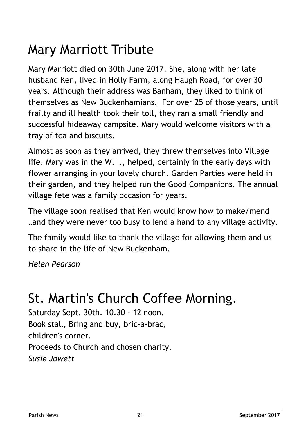## Mary Marriott Tribute

Mary Marriott died on 30th June 2017. She, along with her late husband Ken, lived in Holly Farm, along Haugh Road, for over 30 years. Although their address was Banham, they liked to think of themselves as New Buckenhamians. For over 25 of those years, until frailty and ill health took their toll, they ran a small friendly and successful hideaway campsite. Mary would welcome visitors with a tray of tea and biscuits.

Almost as soon as they arrived, they threw themselves into Village life. Mary was in the W. I., helped, certainly in the early days with flower arranging in your lovely church. Garden Parties were held in their garden, and they helped run the Good Companions. The annual village fete was a family occasion for years.

The village soon realised that Ken would know how to make/mend …and they were never too busy to lend a hand to any village activity.

The family would like to thank the village for allowing them and us to share in the life of New Buckenham.

*Helen Pearson*

## St. Martin's Church Coffee Morning.

Saturday Sept. 30th. 10.30 - 12 noon. Book stall, Bring and buy, bric-a-brac, children's corner. Proceeds to Church and chosen charity. *Susie Jowett*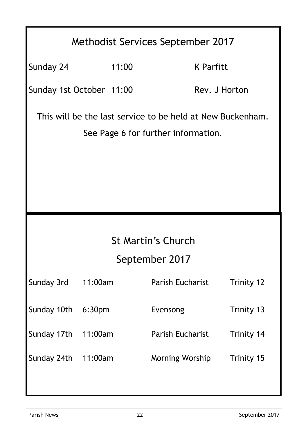## Methodist Services September 2017

Sunday 24 11:00 K Parfitt

Sunday 1st October 11:00 Rev. J Horton

This will be the last service to be held at New Buckenham. See Page 6 for further information.

## St Martin's Church

## September 2017

| Trinity 13                            |
|---------------------------------------|
| <b>Parish Eucharist</b><br>Trinity 14 |
| Morning Worship<br>Trinity 15         |
|                                       |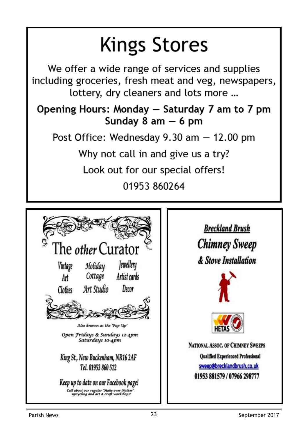## **Kings Stores**

We offer a wide range of services and supplies including groceries, fresh meat and veg, newspapers, lottery, dry cleaners and lots more ...

## Opening Hours: Monday - Saturday 7 am to 7 pm Sunday  $8$  am  $-6$  pm

Post Office: Wednesday  $9.30$  am  $-12.00$  pm

Why not call in and give us a try?

Look out for our special offers!

01953 860264